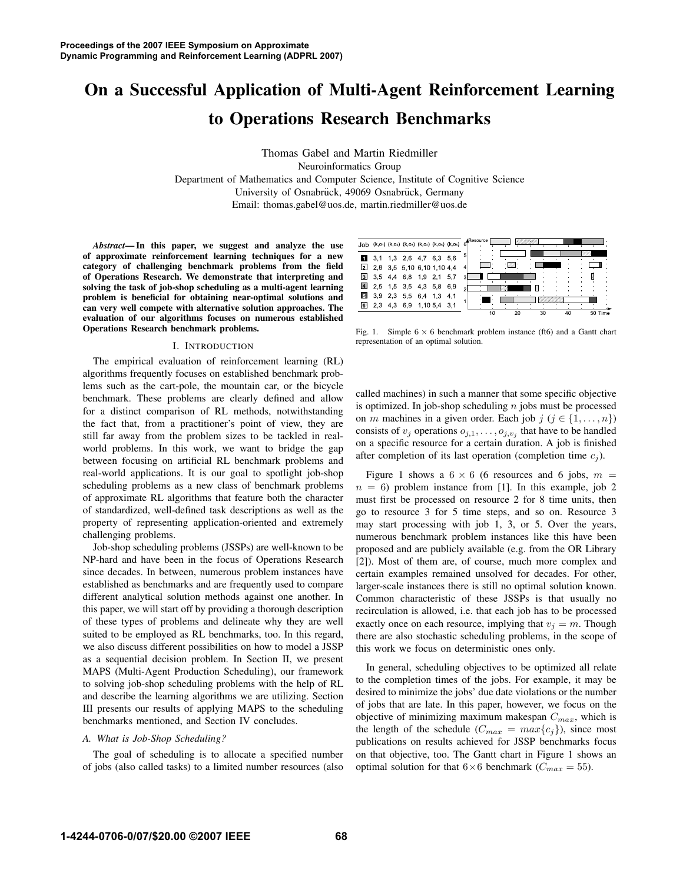# **On a Successful Application of Multi-Agent Reinforcement Learning to Operations Research Benchmarks**

Thomas Gabel and Martin Riedmiller Neuroinformatics Group Department of Mathematics and Computer Science, Institute of Cognitive Science University of Osnabrück, 49069 Osnabrück, Germany Email: thomas.gabel@uos.de, martin.riedmiller@uos.de

*Abstract***— In this paper, we suggest and analyze the use of approximate reinforcement learning techniques for a new category of challenging benchmark problems from the field of Operations Research. We demonstrate that interpreting and solving the task of job-shop scheduling as a multi-agent learning problem is beneficial for obtaining near-optimal solutions and can very well compete with alternative solution approaches. The evaluation of our algorithms focuses on numerous established Operations Research benchmark problems.**

#### I. INTRODUCTION

The empirical evaluation of reinforcement learning (RL) algorithms frequently focuses on established benchmark problems such as the cart-pole, the mountain car, or the bicycle benchmark. These problems are clearly defined and allow for a distinct comparison of RL methods, notwithstanding the fact that, from a practitioner's point of view, they are still far away from the problem sizes to be tackled in realworld problems. In this work, we want to bridge the gap between focusing on artificial RL benchmark problems and real-world applications. It is our goal to spotlight job-shop scheduling problems as a new class of benchmark problems of approximate RL algorithms that feature both the character of standardized, well-defined task descriptions as well as the property of representing application-oriented and extremely challenging problems.

Job-shop scheduling problems (JSSPs) are well-known to be NP-hard and have been in the focus of Operations Research since decades. In between, numerous problem instances have established as benchmarks and are frequently used to compare different analytical solution methods against one another. In this paper, we will start off by providing a thorough description of these types of problems and delineate why they are well suited to be employed as RL benchmarks, too. In this regard, we also discuss different possibilities on how to model a JSSP as a sequential decision problem. In Section II, we present MAPS (Multi-Agent Production Scheduling), our framework to solving job-shop scheduling problems with the help of RL and describe the learning algorithms we are utilizing. Section III presents our results of applying MAPS to the scheduling benchmarks mentioned, and Section IV concludes.

#### *A. What is Job-Shop Scheduling?*

The goal of scheduling is to allocate a specified number of jobs (also called tasks) to a limited number resources (also

|           | Job (k,o1) (k,o2) (k,o3) (k,o4) (k,o5) (k,o5) |                          |     |      |   | <b>AResource</b> |    |    |    |   |         |
|-----------|-----------------------------------------------|--------------------------|-----|------|---|------------------|----|----|----|---|---------|
|           | 3,1 1,3 2,6 4,7 6,3 5,6                       |                          |     |      | 5 |                  |    |    |    |   |         |
| l 2 l     | 2,8 3.5 5.10 6.10 1.10 4.4                    |                          |     |      |   |                  |    |    |    |   |         |
| 3         | 3,5 4,4 6,8 1,9 2,1 5,7                       |                          |     |      | 3 |                  |    |    |    | И |         |
| $\vert$ 4 |                                               | 2,5 1,5 3,5 4,3 5,8 6,9  |     |      | 2 |                  |    |    |    |   |         |
| 15        |                                               | $3,9$ $2,3$ $5,5$ $6,4$  | 1.3 | -4.1 |   |                  |    |    |    |   |         |
| 豯         |                                               | 2.3 4.3 6.9 1.10 5.4 3.1 |     |      |   |                  |    |    |    |   |         |
|           |                                               |                          |     |      |   | 10               | 20 | 30 | 40 |   | 50 Time |

Fig. 1. Simple  $6 \times 6$  benchmark problem instance (ft6) and a Gantt chart representation of an optimal solution.

called machines) in such a manner that some specific objective is optimized. In job-shop scheduling *n* jobs must be processed on *m* machines in a given order. Each job  $j$  ( $j \in \{1, \ldots, n\}$ ) consists of  $v_j$  operations  $o_{j,1}, \ldots, o_{j,v_j}$  that have to be handled on a specific resource for a certain duration. A job is finished after completion of its last operation (completion time *c<sup>j</sup>* ).

Figure 1 shows a  $6 \times 6$  (6 resources and 6 jobs,  $m =$  $n = 6$ ) problem instance from [1]. In this example, job 2 must first be processed on resource 2 for 8 time units, then go to resource 3 for 5 time steps, and so on. Resource 3 may start processing with job 1, 3, or 5. Over the years, numerous benchmark problem instances like this have been proposed and are publicly available (e.g. from the OR Library [2]). Most of them are, of course, much more complex and certain examples remained unsolved for decades. For other, larger-scale instances there is still no optimal solution known. Common characteristic of these JSSPs is that usually no recirculation is allowed, i.e. that each job has to be processed exactly once on each resource, implying that  $v_j = m$ . Though there are also stochastic scheduling problems, in the scope of this work we focus on deterministic ones only.

In general, scheduling objectives to be optimized all relate to the completion times of the jobs. For example, it may be desired to minimize the jobs' due date violations or the number of jobs that are late. In this paper, however, we focus on the objective of minimizing maximum makespan *Cmax*, which is the length of the schedule  $(C_{max} = max\{c_j\})$ , since most publications on results achieved for JSSP benchmarks focus on that objective, too. The Gantt chart in Figure 1 shows an optimal solution for that  $6 \times 6$  benchmark ( $C_{max} = 55$ ).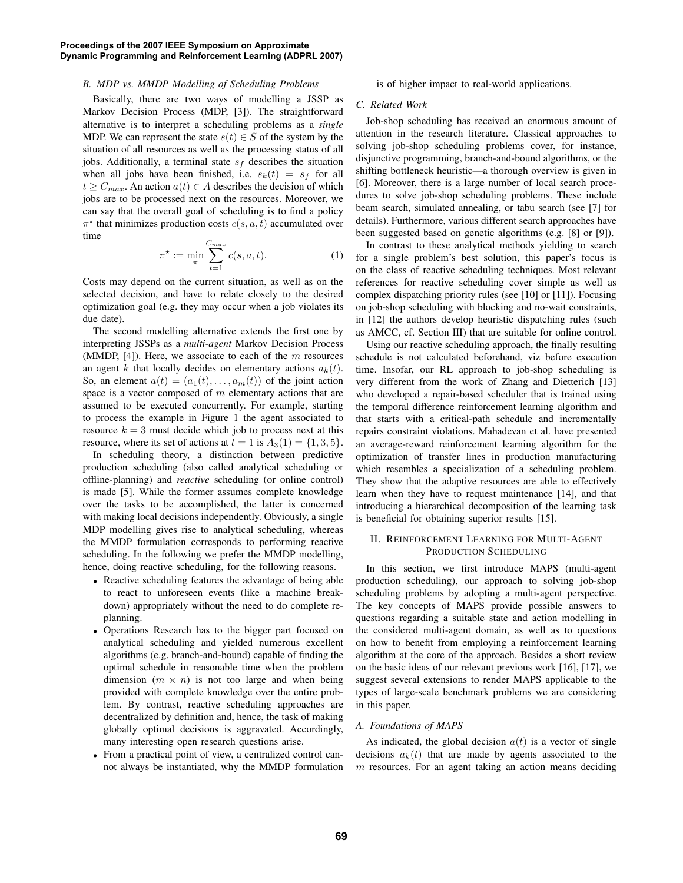#### *B. MDP vs. MMDP Modelling of Scheduling Problems*

Basically, there are two ways of modelling a JSSP as Markov Decision Process (MDP, [3]). The straightforward alternative is to interpret a scheduling problems as a *single* MDP. We can represent the state  $s(t) \in S$  of the system by the situation of all resources as well as the processing status of all jobs. Additionally, a terminal state  $s_f$  describes the situation when all jobs have been finished, i.e.  $s_k(t) = s_f$  for all  $t \geq C_{max}$ . An action  $a(t) \in A$  describes the decision of which jobs are to be processed next on the resources. Moreover, we can say that the overall goal of scheduling is to find a policy  $\pi^*$  that minimizes production costs  $c(s, a, t)$  accumulated over time

$$
\pi^* := \min_{\pi} \sum_{t=1}^{C_{max}} c(s, a, t).
$$
 (1)

Costs may depend on the current situation, as well as on the selected decision, and have to relate closely to the desired optimization goal (e.g. they may occur when a job violates its due date).

The second modelling alternative extends the first one by interpreting JSSPs as a *multi-agent* Markov Decision Process (MMDP, [4]). Here, we associate to each of the *m* resources an agent *k* that locally decides on elementary actions  $a_k(t)$ . So, an element  $a(t)=(a_1(t),\ldots,a_m(t))$  of the joint action space is a vector composed of *m* elementary actions that are assumed to be executed concurrently. For example, starting to process the example in Figure 1 the agent associated to resource  $k = 3$  must decide which job to process next at this resource, where its set of actions at  $t = 1$  is  $A_3(1) = \{1, 3, 5\}.$ 

In scheduling theory, a distinction between predictive production scheduling (also called analytical scheduling or offline-planning) and *reactive* scheduling (or online control) is made [5]. While the former assumes complete knowledge over the tasks to be accomplished, the latter is concerned with making local decisions independently. Obviously, a single MDP modelling gives rise to analytical scheduling, whereas the MMDP formulation corresponds to performing reactive scheduling. In the following we prefer the MMDP modelling, hence, doing reactive scheduling, for the following reasons.

- Reactive scheduling features the advantage of being able to react to unforeseen events (like a machine breakdown) appropriately without the need to do complete replanning.
- Operations Research has to the bigger part focused on analytical scheduling and yielded numerous excellent algorithms (e.g. branch-and-bound) capable of finding the optimal schedule in reasonable time when the problem dimension  $(m \times n)$  is not too large and when being provided with complete knowledge over the entire problem. By contrast, reactive scheduling approaches are decentralized by definition and, hence, the task of making globally optimal decisions is aggravated. Accordingly, many interesting open research questions arise.
- From a practical point of view, a centralized control cannot always be instantiated, why the MMDP formulation

is of higher impact to real-world applications.

## *C. Related Work*

Job-shop scheduling has received an enormous amount of attention in the research literature. Classical approaches to solving job-shop scheduling problems cover, for instance, disjunctive programming, branch-and-bound algorithms, or the shifting bottleneck heuristic—a thorough overview is given in [6]. Moreover, there is a large number of local search procedures to solve job-shop scheduling problems. These include beam search, simulated annealing, or tabu search (see [7] for details). Furthermore, various different search approaches have been suggested based on genetic algorithms (e.g. [8] or [9]).

In contrast to these analytical methods yielding to search for a single problem's best solution, this paper's focus is on the class of reactive scheduling techniques. Most relevant references for reactive scheduling cover simple as well as complex dispatching priority rules (see [10] or [11]). Focusing on job-shop scheduling with blocking and no-wait constraints, in [12] the authors develop heuristic dispatching rules (such as AMCC, cf. Section III) that are suitable for online control.

Using our reactive scheduling approach, the finally resulting schedule is not calculated beforehand, viz before execution time. Insofar, our RL approach to job-shop scheduling is very different from the work of Zhang and Dietterich [13] who developed a repair-based scheduler that is trained using the temporal difference reinforcement learning algorithm and that starts with a critical-path schedule and incrementally repairs constraint violations. Mahadevan et al. have presented an average-reward reinforcement learning algorithm for the optimization of transfer lines in production manufacturing which resembles a specialization of a scheduling problem. They show that the adaptive resources are able to effectively learn when they have to request maintenance [14], and that introducing a hierarchical decomposition of the learning task is beneficial for obtaining superior results [15].

# II. REINFORCEMENT LEARNING FOR MULTI-AGENT PRODUCTION SCHEDULING

In this section, we first introduce MAPS (multi-agent production scheduling), our approach to solving job-shop scheduling problems by adopting a multi-agent perspective. The key concepts of MAPS provide possible answers to questions regarding a suitable state and action modelling in the considered multi-agent domain, as well as to questions on how to benefit from employing a reinforcement learning algorithm at the core of the approach. Besides a short review on the basic ideas of our relevant previous work [16], [17], we suggest several extensions to render MAPS applicable to the types of large-scale benchmark problems we are considering in this paper.

### *A. Foundations of MAPS*

As indicated, the global decision  $a(t)$  is a vector of single decisions  $a_k(t)$  that are made by agents associated to the *m* resources. For an agent taking an action means deciding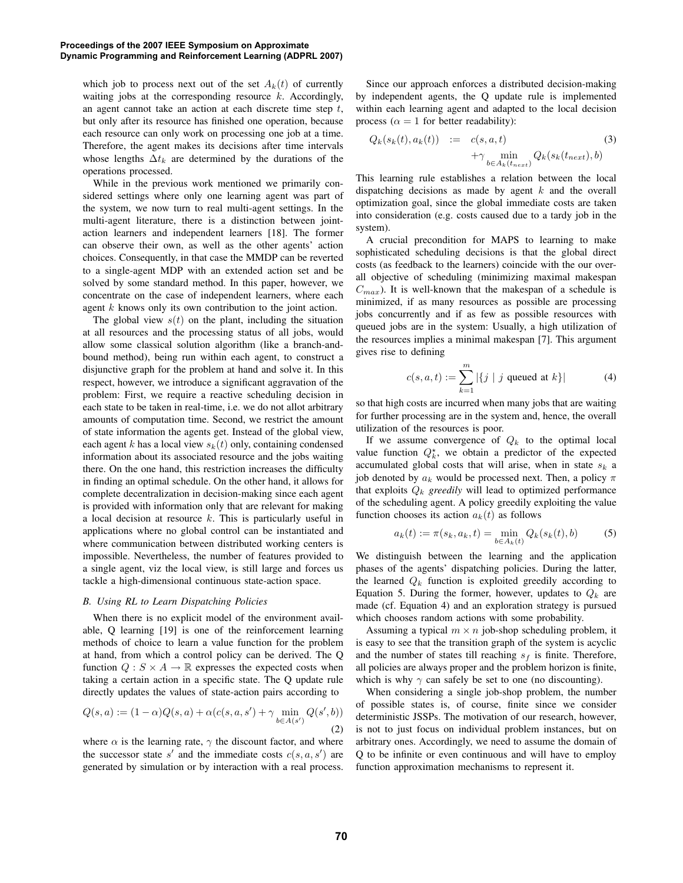which job to process next out of the set  $A_k(t)$  of currently waiting jobs at the corresponding resource *k*. Accordingly, an agent cannot take an action at each discrete time step *t*, but only after its resource has finished one operation, because each resource can only work on processing one job at a time. Therefore, the agent makes its decisions after time intervals whose lengths  $\Delta t_k$  are determined by the durations of the operations processed.

While in the previous work mentioned we primarily considered settings where only one learning agent was part of the system, we now turn to real multi-agent settings. In the multi-agent literature, there is a distinction between jointaction learners and independent learners [18]. The former can observe their own, as well as the other agents' action choices. Consequently, in that case the MMDP can be reverted to a single-agent MDP with an extended action set and be solved by some standard method. In this paper, however, we concentrate on the case of independent learners, where each agent *k* knows only its own contribution to the joint action.

The global view  $s(t)$  on the plant, including the situation at all resources and the processing status of all jobs, would allow some classical solution algorithm (like a branch-andbound method), being run within each agent, to construct a disjunctive graph for the problem at hand and solve it. In this respect, however, we introduce a significant aggravation of the problem: First, we require a reactive scheduling decision in each state to be taken in real-time, i.e. we do not allot arbitrary amounts of computation time. Second, we restrict the amount of state information the agents get. Instead of the global view, each agent *k* has a local view  $s_k(t)$  only, containing condensed information about its associated resource and the jobs waiting there. On the one hand, this restriction increases the difficulty in finding an optimal schedule. On the other hand, it allows for complete decentralization in decision-making since each agent is provided with information only that are relevant for making a local decision at resource *k*. This is particularly useful in applications where no global control can be instantiated and where communication between distributed working centers is impossible. Nevertheless, the number of features provided to a single agent, viz the local view, is still large and forces us tackle a high-dimensional continuous state-action space.

# *B. Using RL to Learn Dispatching Policies*

When there is no explicit model of the environment available, Q learning [19] is one of the reinforcement learning methods of choice to learn a value function for the problem at hand, from which a control policy can be derived. The Q function  $Q : S \times A \rightarrow \mathbb{R}$  expresses the expected costs when taking a certain action in a specific state. The Q update rule directly updates the values of state-action pairs according to

$$
Q(s, a) := (1 - \alpha)Q(s, a) + \alpha(c(s, a, s') + \gamma \min_{b \in A(s')} Q(s', b))
$$
\n(2)

where  $\alpha$  is the learning rate,  $\gamma$  the discount factor, and where the successor state  $s'$  and the immediate costs  $c(s, a, s')$  are generated by simulation or by interaction with a real process.

Since our approach enforces a distributed decision-making by independent agents, the Q update rule is implemented within each learning agent and adapted to the local decision process ( $\alpha = 1$  for better readability):

$$
Q_k(s_k(t), a_k(t)) := c(s, a, t)
$$
  
 
$$
+ \gamma \min_{b \in A_k(t_{next})} Q_k(s_k(t_{next}), b)
$$
 (3)

This learning rule establishes a relation between the local dispatching decisions as made by agent *k* and the overall optimization goal, since the global immediate costs are taken into consideration (e.g. costs caused due to a tardy job in the system).

A crucial precondition for MAPS to learning to make sophisticated scheduling decisions is that the global direct costs (as feedback to the learners) coincide with the our overall objective of scheduling (minimizing maximal makespan *Cmax*). It is well-known that the makespan of a schedule is minimized, if as many resources as possible are processing jobs concurrently and if as few as possible resources with queued jobs are in the system: Usually, a high utilization of the resources implies a minimal makespan [7]. This argument gives rise to defining

$$
c(s, a, t) := \sum_{k=1}^{m} |\{j \mid j \text{ queued at } k\}| \tag{4}
$$

so that high costs are incurred when many jobs that are waiting for further processing are in the system and, hence, the overall utilization of the resources is poor.

If we assume convergence of  $Q_k$  to the optimal local value function  $Q_k^*$ , we obtain a predictor of the expected accumulated global costs that will arise, when in state *s<sup>k</sup>* a job denoted by  $a_k$  would be processed next. Then, a policy  $\pi$ that exploits  $Q_k$  *greedily* will lead to optimized performance of the scheduling agent. A policy greedily exploiting the value function chooses its action  $a_k(t)$  as follows

$$
a_k(t) := \pi(s_k, a_k, t) = \min_{b \in A_k(t)} Q_k(s_k(t), b)
$$
 (5)

We distinguish between the learning and the application phases of the agents' dispatching policies. During the latter, the learned *Q<sup>k</sup>* function is exploited greedily according to Equation 5. During the former, however, updates to  $Q_k$  are made (cf. Equation 4) and an exploration strategy is pursued which chooses random actions with some probability.

Assuming a typical  $m \times n$  job-shop scheduling problem, it is easy to see that the transition graph of the system is acyclic and the number of states till reaching *s<sup>f</sup>* is finite. Therefore, all policies are always proper and the problem horizon is finite, which is why  $\gamma$  can safely be set to one (no discounting).

When considering a single job-shop problem, the number of possible states is, of course, finite since we consider deterministic JSSPs. The motivation of our research, however, is not to just focus on individual problem instances, but on arbitrary ones. Accordingly, we need to assume the domain of Q to be infinite or even continuous and will have to employ function approximation mechanisms to represent it.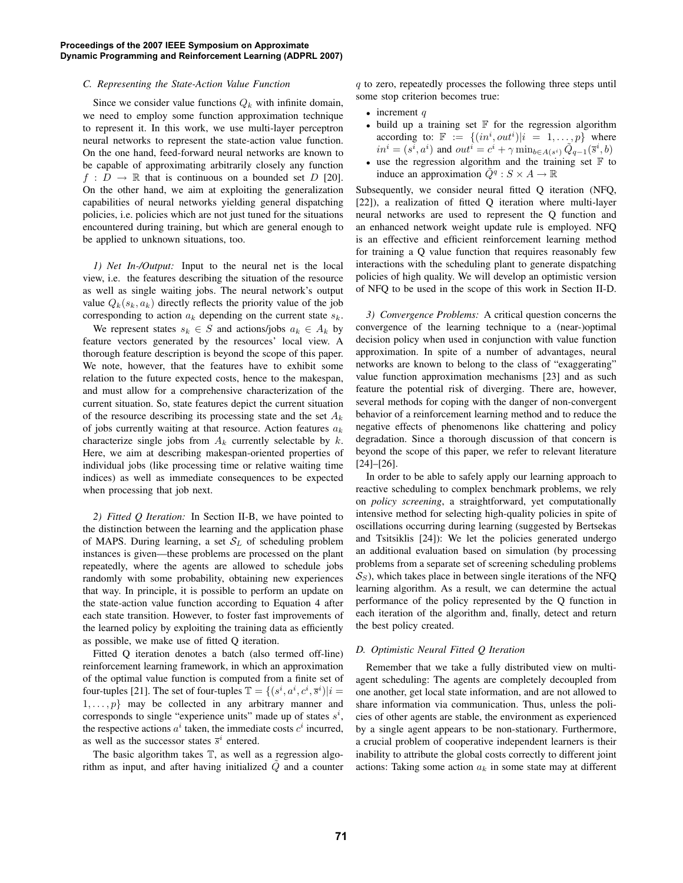### *C. Representing the State-Action Value Function*

Since we consider value functions  $Q_k$  with infinite domain, we need to employ some function approximation technique to represent it. In this work, we use multi-layer perceptron neural networks to represent the state-action value function. On the one hand, feed-forward neural networks are known to be capable of approximating arbitrarily closely any function  $f: D \to \mathbb{R}$  that is continuous on a bounded set *D* [20]. On the other hand, we aim at exploiting the generalization capabilities of neural networks yielding general dispatching policies, i.e. policies which are not just tuned for the situations encountered during training, but which are general enough to be applied to unknown situations, too.

*1) Net In-/Output:* Input to the neural net is the local view, i.e. the features describing the situation of the resource as well as single waiting jobs. The neural network's output value  $Q_k(s_k, a_k)$  directly reflects the priority value of the job corresponding to action  $a_k$  depending on the current state  $s_k$ .

We represent states  $s_k \in S$  and actions/jobs  $a_k \in A_k$  by feature vectors generated by the resources' local view. A thorough feature description is beyond the scope of this paper. We note, however, that the features have to exhibit some relation to the future expected costs, hence to the makespan, and must allow for a comprehensive characterization of the current situation. So, state features depict the current situation of the resource describing its processing state and the set *A<sup>k</sup>* of jobs currently waiting at that resource. Action features *a<sup>k</sup>* characterize single jobs from  $A_k$  currently selectable by  $k$ . Here, we aim at describing makespan-oriented properties of individual jobs (like processing time or relative waiting time indices) as well as immediate consequences to be expected when processing that job next.

*2) Fitted Q Iteration:* In Section II-B, we have pointed to the distinction between the learning and the application phase of MAPS. During learning, a set  $S_L$  of scheduling problem instances is given—these problems are processed on the plant repeatedly, where the agents are allowed to schedule jobs randomly with some probability, obtaining new experiences that way. In principle, it is possible to perform an update on the state-action value function according to Equation 4 after each state transition. However, to foster fast improvements of the learned policy by exploiting the training data as efficiently as possible, we make use of fitted Q iteration.

Fitted Q iteration denotes a batch (also termed off-line) reinforcement learning framework, in which an approximation of the optimal value function is computed from a finite set of four-tuples [21]. The set of four-tuples  $\mathbb{T} = \{(s^i, a^i, c^i, \overline{s}^i)|i =$ 1*,...,p*} may be collected in any arbitrary manner and corresponds to single "experience units" made up of states *s<sup>i</sup>* , the respective actions  $a^i$  taken, the immediate costs  $c^i$  incurred, as well as the successor states  $\bar{s}^i$  entered.

The basic algorithm takes  $T$ , as well as a regression algorithm as input, and after having initialized  $\tilde{Q}$  and a counter *q* to zero, repeatedly processes the following three steps until some stop criterion becomes true:

- increment *q*
- build up a training set  $\mathbb F$  for the regression algorithm according to:  $\mathbb{F} := \{(in^i, out^i)|i = 1, \ldots, p\}$  where  $\hat{Q}_{q-1}(\bar{s}^i, a^i)$  and  $out^i = c^i + \gamma \min_{b \in A(s^i)} \tilde{Q}_{q-1}(\bar{s}^i, b)$ • use the regression algorithm and the training set  $\mathbb F$  to
- induce an approximation  $\tilde{Q}^q$  :  $S \times A \rightarrow \mathbb{R}$

Subsequently, we consider neural fitted Q iteration (NFQ, [22]), a realization of fitted Q iteration where multi-layer neural networks are used to represent the Q function and an enhanced network weight update rule is employed. NFQ is an effective and efficient reinforcement learning method for training a Q value function that requires reasonably few interactions with the scheduling plant to generate dispatching policies of high quality. We will develop an optimistic version of NFQ to be used in the scope of this work in Section II-D.

*3) Convergence Problems:* A critical question concerns the convergence of the learning technique to a (near-)optimal decision policy when used in conjunction with value function approximation. In spite of a number of advantages, neural networks are known to belong to the class of "exaggerating" value function approximation mechanisms [23] and as such feature the potential risk of diverging. There are, however, several methods for coping with the danger of non-convergent behavior of a reinforcement learning method and to reduce the negative effects of phenomenons like chattering and policy degradation. Since a thorough discussion of that concern is beyond the scope of this paper, we refer to relevant literature [24]–[26].

In order to be able to safely apply our learning approach to reactive scheduling to complex benchmark problems, we rely on *policy screening*, a straightforward, yet computationally intensive method for selecting high-quality policies in spite of oscillations occurring during learning (suggested by Bertsekas and Tsitsiklis [24]): We let the policies generated undergo an additional evaluation based on simulation (by processing problems from a separate set of screening scheduling problems S*S*), which takes place in between single iterations of the NFQ learning algorithm. As a result, we can determine the actual performance of the policy represented by the Q function in each iteration of the algorithm and, finally, detect and return the best policy created.

## *D. Optimistic Neural Fitted Q Iteration*

Remember that we take a fully distributed view on multiagent scheduling: The agents are completely decoupled from one another, get local state information, and are not allowed to share information via communication. Thus, unless the policies of other agents are stable, the environment as experienced by a single agent appears to be non-stationary. Furthermore, a crucial problem of cooperative independent learners is their inability to attribute the global costs correctly to different joint actions: Taking some action *a<sup>k</sup>* in some state may at different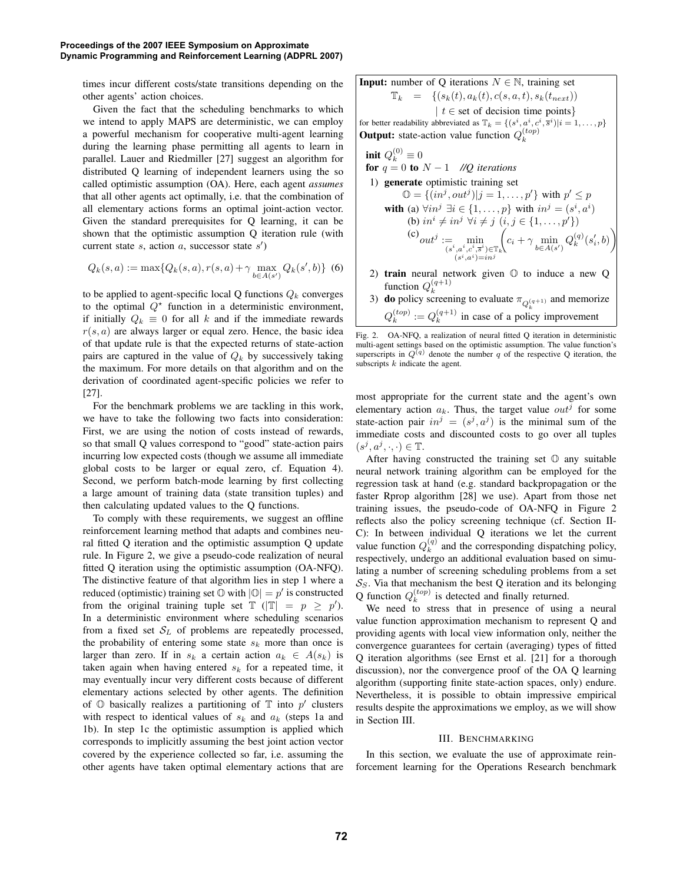times incur different costs/state transitions depending on the other agents' action choices.

Given the fact that the scheduling benchmarks to which we intend to apply MAPS are deterministic, we can employ a powerful mechanism for cooperative multi-agent learning during the learning phase permitting all agents to learn in parallel. Lauer and Riedmiller [27] suggest an algorithm for distributed Q learning of independent learners using the so called optimistic assumption (OA). Here, each agent *assumes* that all other agents act optimally, i.e. that the combination of all elementary actions forms an optimal joint-action vector. Given the standard prerequisites for Q learning, it can be shown that the optimistic assumption Q iteration rule (with current state *s*, action *a*, successor state *s* )

$$
Q_k(s, a) := \max\{Q_k(s, a), r(s, a) + \gamma \max_{b \in A(s')} Q_k(s', b)\} \tag{6}
$$

to be applied to agent-specific local  $Q$  functions  $Q_k$  converges to the optimal  $Q^*$  function in a deterministic environment, if initially  $Q_k \equiv 0$  for all  $k$  and if the immediate rewards  $r(s, a)$  are always larger or equal zero. Hence, the basic idea of that update rule is that the expected returns of state-action pairs are captured in the value of  $Q_k$  by successively taking the maximum. For more details on that algorithm and on the derivation of coordinated agent-specific policies we refer to [27].

For the benchmark problems we are tackling in this work, we have to take the following two facts into consideration: First, we are using the notion of costs instead of rewards, so that small Q values correspond to "good" state-action pairs incurring low expected costs (though we assume all immediate global costs to be larger or equal zero, cf. Equation 4). Second, we perform batch-mode learning by first collecting a large amount of training data (state transition tuples) and then calculating updated values to the Q functions.

To comply with these requirements, we suggest an offline reinforcement learning method that adapts and combines neural fitted Q iteration and the optimistic assumption Q update rule. In Figure 2, we give a pseudo-code realization of neural fitted Q iteration using the optimistic assumption (OA-NFQ). The distinctive feature of that algorithm lies in step 1 where a reduced (optimistic) training set  $\mathbb{O}$  with  $|\mathbb{O}| = p'$  is constructed from the original training tuple set  $\mathbb{T}$  ( $|\mathbb{T}| = p \geq p'$ ). In a deterministic environment where scheduling scenarios from a fixed set  $S_L$  of problems are repeatedly processed, the probability of entering some state *s<sup>k</sup>* more than once is larger than zero. If in  $s_k$  a certain action  $a_k \in A(s_k)$  is taken again when having entered  $s_k$  for a repeated time, it may eventually incur very different costs because of different elementary actions selected by other agents. The definition of  $\oslash$  basically realizes a partitioning of  $\mathbb T$  into  $p'$  clusters with respect to identical values of  $s_k$  and  $a_k$  (steps 1a and 1b). In step 1c the optimistic assumption is applied which corresponds to implicitly assuming the best joint action vector covered by the experience collected so far, i.e. assuming the other agents have taken optimal elementary actions that are

**Input:** number of Q iterations 
$$
N \in \mathbb{N}
$$
, training set  
\n
$$
\mathbb{T}_k = \{(s_k(t), a_k(t), c(s, a, t), s_k(t_{next}))
$$
\n
$$
| t \in \text{set of decision time points}\}
$$
\nfor better readability abbreviated as  $\mathbb{T}_k = \{(s^i, a^i, c^i, \overline{s}^i) | i = 1, ..., p\}$   
\n**Output:** state-action value function  $Q_k^{(top)}$ 

**init**  $Q_k^{(0)} \equiv 0$ **for**  $q = 0$  **to**  $N - 1$  //*Q* iterations 1) **generate** optimistic training set  $\mathbb{O} = \{ (in^j, out^j) | j = 1, ..., p' \}$  with  $p' \leq p$ **with** (a)  $\forall in^j \ \exists i \in \{1, ..., p\}$  with  $in^j = (s^i, a^i)$ (b)  $in^i \neq in^j \ \forall i \neq j \ (i, j \in \{1, ..., p'\})$  $^{(c)}$ <sub>*out<sup>j</sup>* := min</sub>  $(s^i, a^i, c^i, \overline{s}^i)$ ∈T<sub>k</sub> $\}$  $(s^i, a^i) = inj$  $\int_{k}^{t} c_i + \gamma \min_{b \in A(s')} Q_k^{(q)}(s'_i, b)$  $\lambda$ 2) **train** neural network given O to induce a new Q function  $Q_k^{(q+1)}$ 

3) **do** policy screening to evaluate  $\pi_{Q_k^{(q+1)}}$  and memorize  $Q_k^{(top)} := Q_k^{(q+1)}$  in case of a policy improvement

most appropriate for the current state and the agent's own elementary action  $a_k$ . Thus, the target value  $out<sup>j</sup>$  for some state-action pair  $in^j = (s^j, a^j)$  is the minimal sum of the immediate costs and discounted costs to go over all tuples  $(s^j, a^j, \cdot, \cdot) \in \mathbb{T}.$ 

After having constructed the training set  $\mathbb O$  any suitable neural network training algorithm can be employed for the regression task at hand (e.g. standard backpropagation or the faster Rprop algorithm [28] we use). Apart from those net training issues, the pseudo-code of OA-NFQ in Figure 2 reflects also the policy screening technique (cf. Section II-C): In between individual Q iterations we let the current value function  $Q_k^{(q)}$  and the corresponding dispatching policy, respectively, undergo an additional evaluation based on simulating a number of screening scheduling problems from a set  $S<sub>S</sub>$ . Via that mechanism the best Q iteration and its belonging Q function  $Q_k^{(top)}$  is detected and finally returned.

We need to stress that in presence of using a neural value function approximation mechanism to represent Q and providing agents with local view information only, neither the convergence guarantees for certain (averaging) types of fitted Q iteration algorithms (see Ernst et al. [21] for a thorough discussion), nor the convergence proof of the OA Q learning algorithm (supporting finite state-action spaces, only) endure. Nevertheless, it is possible to obtain impressive empirical results despite the approximations we employ, as we will show in Section III.

#### III. BENCHMARKING

In this section, we evaluate the use of approximate reinforcement learning for the Operations Research benchmark

Fig. 2. OA-NFQ, a realization of neural fitted Q iteration in deterministic multi-agent settings based on the optimistic assumption. The value function's superscripts in  $Q^{(q)}$  denote the number *q* of the respective Q iteration, the subscripts *k* indicate the agent.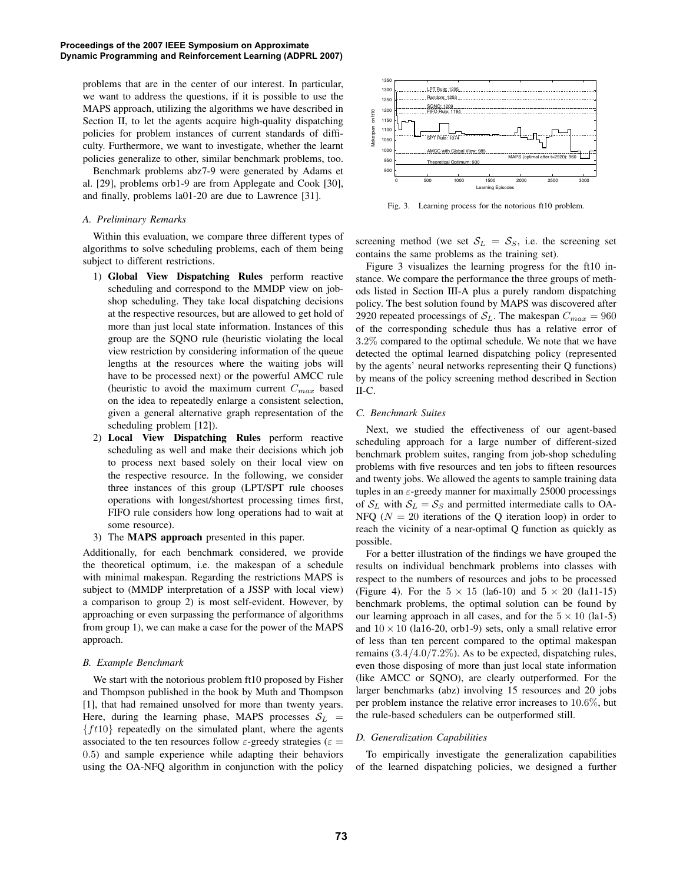problems that are in the center of our interest. In particular, we want to address the questions, if it is possible to use the MAPS approach, utilizing the algorithms we have described in Section II, to let the agents acquire high-quality dispatching policies for problem instances of current standards of difficulty. Furthermore, we want to investigate, whether the learnt policies generalize to other, similar benchmark problems, too.

Benchmark problems abz7-9 were generated by Adams et al. [29], problems orb1-9 are from Applegate and Cook [30], and finally, problems la01-20 are due to Lawrence [31].

## *A. Preliminary Remarks*

Within this evaluation, we compare three different types of algorithms to solve scheduling problems, each of them being subject to different restrictions.

- 1) **Global View Dispatching Rules** perform reactive scheduling and correspond to the MMDP view on jobshop scheduling. They take local dispatching decisions at the respective resources, but are allowed to get hold of more than just local state information. Instances of this group are the SQNO rule (heuristic violating the local view restriction by considering information of the queue lengths at the resources where the waiting jobs will have to be processed next) or the powerful AMCC rule (heuristic to avoid the maximum current  $C_{max}$  based on the idea to repeatedly enlarge a consistent selection, given a general alternative graph representation of the scheduling problem [12]).
- 2) **Local View Dispatching Rules** perform reactive scheduling as well and make their decisions which job to process next based solely on their local view on the respective resource. In the following, we consider three instances of this group (LPT/SPT rule chooses operations with longest/shortest processing times first, FIFO rule considers how long operations had to wait at some resource).
- 3) The **MAPS approach** presented in this paper.

Additionally, for each benchmark considered, we provide the theoretical optimum, i.e. the makespan of a schedule with minimal makespan. Regarding the restrictions MAPS is subject to (MMDP interpretation of a JSSP with local view) a comparison to group 2) is most self-evident. However, by approaching or even surpassing the performance of algorithms from group 1), we can make a case for the power of the MAPS approach.

## *B. Example Benchmark*

We start with the notorious problem ft10 proposed by Fisher and Thompson published in the book by Muth and Thompson [1], that had remained unsolved for more than twenty years. Here, during the learning phase, MAPS processes  $S_L$  = {*f t*10} repeatedly on the simulated plant, where the agents associated to the ten resources follow *ε*-greedy strategies (*ε* = 0*.*5) and sample experience while adapting their behaviors using the OA-NFQ algorithm in conjunction with the policy



Fig. 3. Learning process for the notorious ft10 problem.

screening method (we set  $S_L = S_S$ , i.e. the screening set contains the same problems as the training set).

Figure 3 visualizes the learning progress for the ft10 instance. We compare the performance the three groups of methods listed in Section III-A plus a purely random dispatching policy. The best solution found by MAPS was discovered after 2920 repeated processings of  $S_L$ . The makespan  $C_{max} = 960$ of the corresponding schedule thus has a relative error of 3*.*2% compared to the optimal schedule. We note that we have detected the optimal learned dispatching policy (represented by the agents' neural networks representing their Q functions) by means of the policy screening method described in Section II-C.

#### *C. Benchmark Suites*

Next, we studied the effectiveness of our agent-based scheduling approach for a large number of different-sized benchmark problem suites, ranging from job-shop scheduling problems with five resources and ten jobs to fifteen resources and twenty jobs. We allowed the agents to sample training data tuples in an *ε*-greedy manner for maximally 25000 processings of  $S_L$  with  $S_L = S_S$  and permitted intermediate calls to OA-NFQ  $(N = 20)$  iterations of the Q iteration loop) in order to reach the vicinity of a near-optimal Q function as quickly as possible.

For a better illustration of the findings we have grouped the results on individual benchmark problems into classes with respect to the numbers of resources and jobs to be processed (Figure 4). For the  $5 \times 15$  (la6-10) and  $5 \times 20$  (la11-15) benchmark problems, the optimal solution can be found by our learning approach in all cases, and for the  $5 \times 10$  (la1-5) and  $10 \times 10$  (la16-20, orb1-9) sets, only a small relative error of less than ten percent compared to the optimal makespan remains (3*.*4*/*4*.*0*/*7*.*2%). As to be expected, dispatching rules, even those disposing of more than just local state information (like AMCC or SQNO), are clearly outperformed. For the larger benchmarks (abz) involving 15 resources and 20 jobs per problem instance the relative error increases to 10*.*6%, but the rule-based schedulers can be outperformed still.

## *D. Generalization Capabilities*

To empirically investigate the generalization capabilities of the learned dispatching policies, we designed a further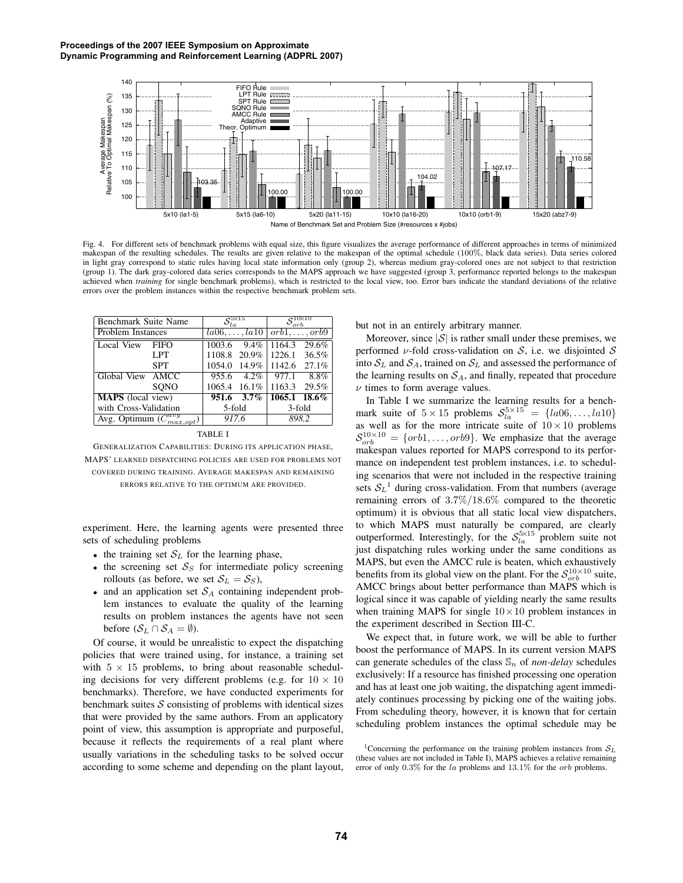

Fig. 4. For different sets of benchmark problems with equal size, this figure visualizes the average performance of different approaches in terms of minimized makespan of the resulting schedules. The results are given relative to the makespan of the optimal schedule (100%, black data series). Data series colored in light gray correspond to static rules having local state information only (group 2), whereas medium gray-colored ones are not subject to that restriction (group 1). The dark gray-colored data series corresponds to the MAPS approach we have suggested (group 3, performance reported belongs to the makespan achieved when *training* for single benchmark problems), which is restricted to the local view, too. Error bars indicate the standard deviations of the relative errors over the problem instances within the respective benchmark problem sets.

| Benchmark Suite Name               | $\sqrt{5} \times 15$ |          | orb                  |              |  |  |
|------------------------------------|----------------------|----------|----------------------|--------------|--|--|
| Problem Instances                  | $la06, \ldots, la10$ |          | $orb1, \ldots, orb9$ |              |  |  |
| <b>FIFO</b><br>Local View          | 1003.6               | 9.4%     |                      | 1164.3 29.6% |  |  |
| LPT                                | 1108.8               | 20.9%    | 1226.1               | 36.5%        |  |  |
| <b>SPT</b>                         | 1054.0               | $14.9\%$ | 1142.6               | 27.1%        |  |  |
| AMCC<br>Global View                | 955.6                | $4.2\%$  | 977.1                | 8.8%         |  |  |
| <b>SONO</b>                        | 1065.4               | $16.1\%$ | 1163.3               | 29.5%        |  |  |
| <b>MAPS</b> (local view)           | 951.6                | $3.7\%$  | 1065.1 18.6%         |              |  |  |
| with Cross-Validation              | 5-fold               |          | 3-fold               |              |  |  |
| Avg. Optimum $(C_{max,opt}^{avg})$ | 917.6                |          | 898.2                |              |  |  |

TABLE I GENERALIZATION CAPABILITIES: DURING ITS APPLICATION PHASE,

MAPS' LEARNED DISPATCHING POLICIES ARE USED FOR PROBLEMS NOT COVERED DURING TRAINING. AVERAGE MAKESPAN AND REMAINING ERRORS RELATIVE TO THE OPTIMUM ARE PROVIDED.

experiment. Here, the learning agents were presented three sets of scheduling problems

- the training set  $S_L$  for the learning phase,
- the screening set  $S_S$  for intermediate policy screening rollouts (as before, we set  $S_L = S_S$ ),
- and an application set  $S_A$  containing independent problem instances to evaluate the quality of the learning results on problem instances the agents have not seen before  $(S_L \cap S_A = \emptyset)$ .

Of course, it would be unrealistic to expect the dispatching policies that were trained using, for instance, a training set with  $5 \times 15$  problems, to bring about reasonable scheduling decisions for very different problems (e.g. for  $10 \times 10$ benchmarks). Therefore, we have conducted experiments for benchmark suites  $S$  consisting of problems with identical sizes that were provided by the same authors. From an applicatory point of view, this assumption is appropriate and purposeful, because it reflects the requirements of a real plant where usually variations in the scheduling tasks to be solved occur according to some scheme and depending on the plant layout, but not in an entirely arbitrary manner.

Moreover, since  $|S|$  is rather small under these premises, we performed  $\nu$ -fold cross-validation on S, i.e. we disjointed S into  $S_L$  and  $S_A$ , trained on  $S_L$  and assessed the performance of the learning results on  $S_A$ , and finally, repeated that procedure *ν* times to form average values.

In Table I we summarize the learning results for a benchmark suite of  $5 \times 15$  problems  $S_{la}^{5 \times 15} = \{laa06, \ldots, \text{la}10\}$ as well as for the more intricate suite of  $10 \times 10$  problems  $S_{orb}^{10\times10} = \{orb1, \ldots, orb9\}$ . We emphasize that the average makespan values reported for MAPS correspond to its performance on independent test problem instances, i.e. to scheduling scenarios that were not included in the respective training sets  $S_L$ <sup>1</sup> during cross-validation. From that numbers (average remaining errors of 3*.*7%*/*18*.*6% compared to the theoretic optimum) it is obvious that all static local view dispatchers, to which MAPS must naturally be compared, are clearly outperformed. Interestingly, for the  $S_{la}^{5\times15}$  problem suite not just dispatching rules working under the same conditions as MAPS, but even the AMCC rule is beaten, which exhaustively benefits from its global view on the plant. For the  $S_{orb}^{10\times10}$  suite, AMCC brings about better performance than MAPS which is logical since it was capable of yielding nearly the same results when training MAPS for single  $10 \times 10$  problem instances in the experiment described in Section III-C.

We expect that, in future work, we will be able to further boost the performance of MAPS. In its current version MAPS can generate schedules of the class  $\mathbb{S}_n$  of *non-delay* schedules exclusively: If a resource has finished processing one operation and has at least one job waiting, the dispatching agent immediately continues processing by picking one of the waiting jobs. From scheduling theory, however, it is known that for certain scheduling problem instances the optimal schedule may be

<sup>&</sup>lt;sup>1</sup>Concerning the performance on the training problem instances from  $S_L$ (these values are not included in Table I), MAPS achieves a relative remaining error of only 0*.*3% for the *la* problems and 13*.*1% for the *orb* problems.